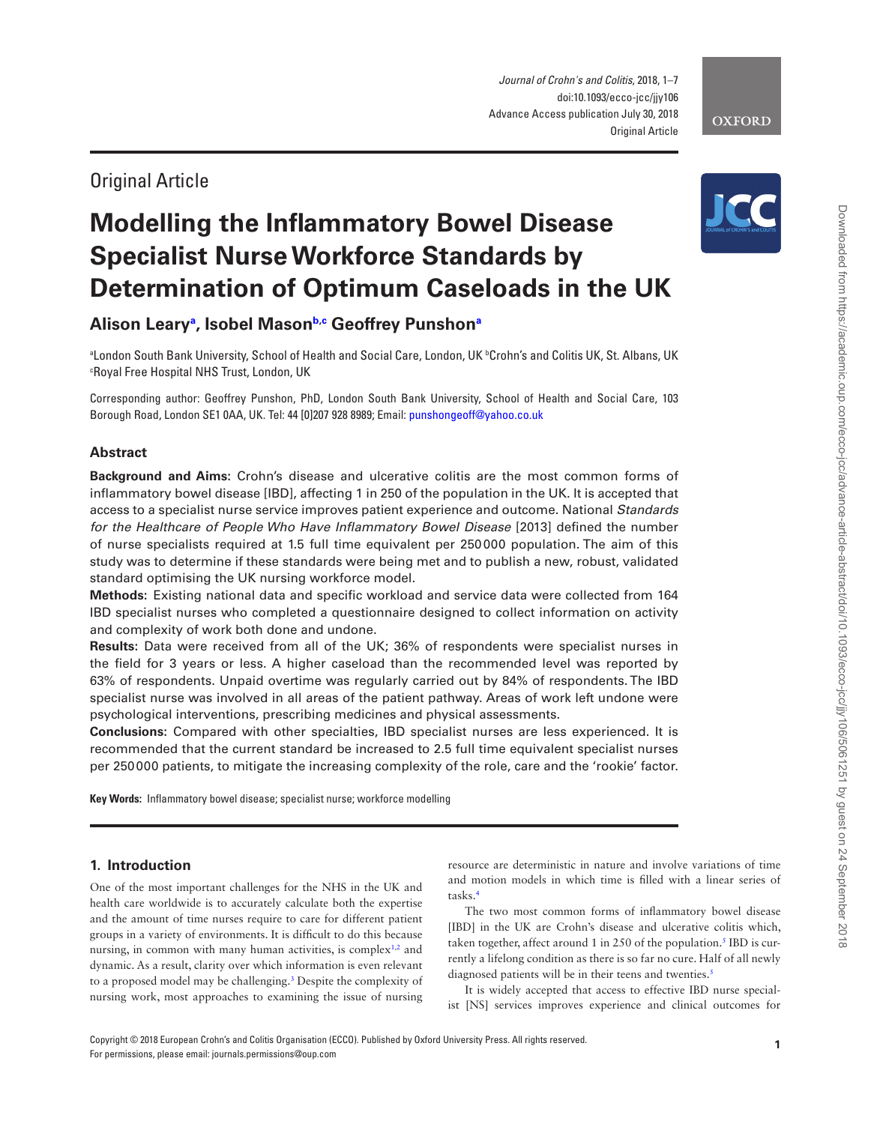*Journal of Crohn's and Colitis*, 2018, 1–7 doi:10.1093/ecco-jcc/jjy106 Advance Access publication July 30, 2018 Original Article

## Original Article

# **Modelling the Inflammatory Bowel Disease Specialist Nurse Workforce Standards by Determination of Optimum Caseloads in the UK**

**Alison Leary[a](#page-0-0) , Isobel Maso[nb](#page-0-1)[,c](#page-0-2) Geoffrey Punshon[a](#page-0-0)**

<span id="page-0-2"></span><span id="page-0-1"></span><span id="page-0-0"></span>ªLondon South Bank University, School of Health and Social Care, London, UK ʰCrohn's and Colitis UK, St. Albans, UK c Royal Free Hospital NHS Trust, London, UK

Corresponding author: Geoffrey Punshon, PhD, London South Bank University, School of Health and Social Care, 103 Borough Road, London SE1 0AA, UK. Tel: 44 [0]207 928 8989; Email: [punshongeoff@yahoo.co.uk](mailto:punshongeoff@yahoo.co.uk?subject=)

## **Abstract**

**Background and Aims:** Crohn's disease and ulcerative colitis are the most common forms of inflammatory bowel disease [IBD], affecting 1 in 250 of the population in the UK. It is accepted that access to a specialist nurse service improves patient experience and outcome. National *Standards for the Healthcare of People Who Have Inflammatory Bowel Disease* [2013] defined the number of nurse specialists required at 1.5 full time equivalent per 250000 population. The aim of this study was to determine if these standards were being met and to publish a new, robust, validated standard optimising the UK nursing workforce model.

**Methods:** Existing national data and specific workload and service data were collected from 164 IBD specialist nurses who completed a questionnaire designed to collect information on activity and complexity of work both done and undone.

**Results:** Data were received from all of the UK; 36% of respondents were specialist nurses in the field for 3 years or less. A higher caseload than the recommended level was reported by 63% of respondents. Unpaid overtime was regularly carried out by 84% of respondents. The IBD specialist nurse was involved in all areas of the patient pathway. Areas of work left undone were psychological interventions, prescribing medicines and physical assessments.

**Conclusions:** Compared with other specialties, IBD specialist nurses are less experienced. It is recommended that the current standard be increased to 2.5 full time equivalent specialist nurses per 250000 patients, to mitigate the increasing complexity of the role, care and the 'rookie' factor.

**Key Words:** Inflammatory bowel disease; specialist nurse; workforce modelling

## **1. Introduction**

One of the most important challenges for the NHS in the UK and health care worldwide is to accurately calculate both the expertise and the amount of time nurses require to care for different patient groups in a variety of environments. It is difficult to do this because nursing, in common with many human activities, is complex<sup>1,[2](#page-5-1)</sup> and dynamic. As a result, clarity over which information is even relevant to a proposed model may be challenging[.3](#page-5-2) Despite the complexity of nursing work, most approaches to examining the issue of nursing

resource are deterministic in nature and involve variations of time and motion models in which time is filled with a linear series of tasks.[4](#page-6-0)

The two most common forms of inflammatory bowel disease [IBD] in the UK are Crohn's disease and ulcerative colitis which, taken together, affect around 1 in 250 of the population.<sup>5</sup> IBD is currently a lifelong condition as there is so far no cure. Half of all newly diagnosed patients will be in their teens and twenties.<sup>5</sup>

It is widely accepted that access to effective IBD nurse specialist [NS] services improves experience and clinical outcomes for



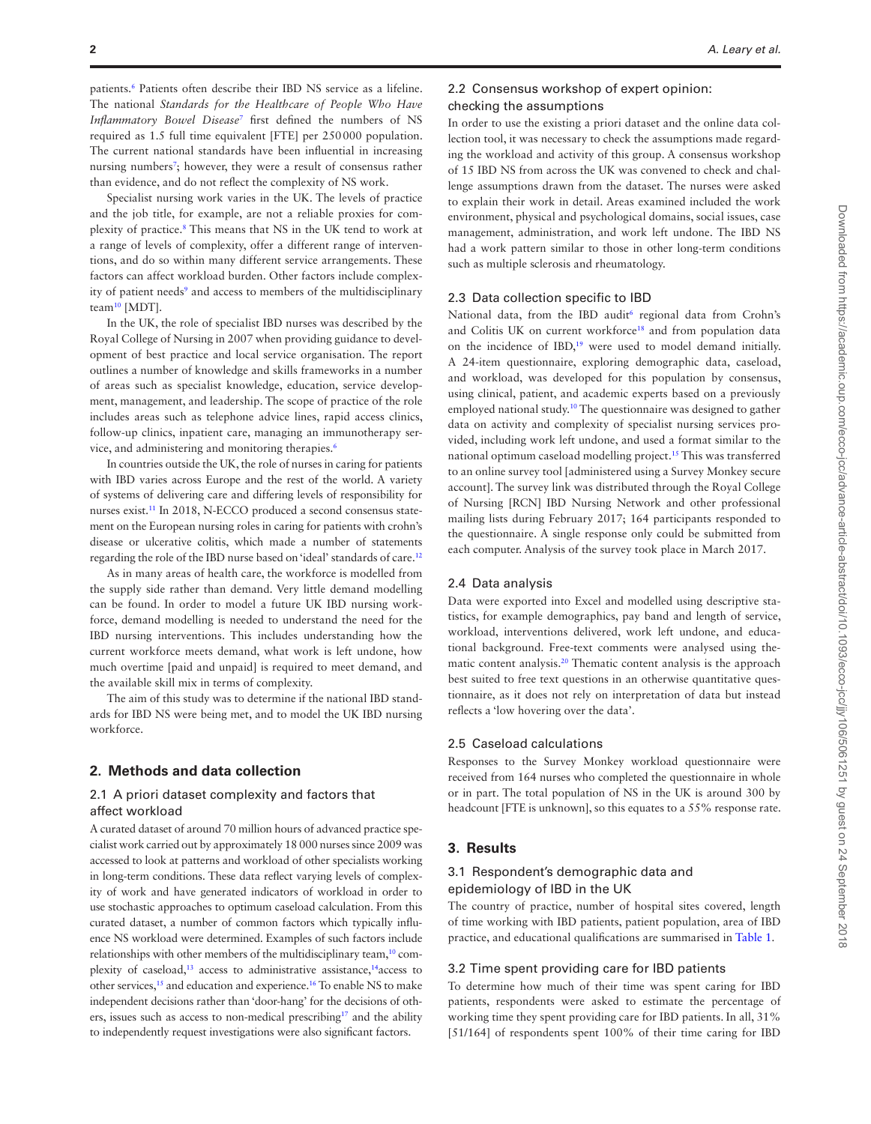patients.<sup>6</sup> Patients often describe their IBD NS service as a lifeline. The national *Standards for the Healthcare of People Who Have Inflammatory Bowel Disease*[7](#page-6-3) first defined the numbers of NS required as 1.5 full time equivalent [FTE] per 250000 population. The current national standards have been influential in increasing nursing numbers<sup>[7](#page-6-3)</sup>; however, they were a result of consensus rather than evidence, and do not reflect the complexity of NS work.

Specialist nursing work varies in the UK. The levels of practice and the job title, for example, are not a reliable proxies for complexity of practice.<sup>8</sup> This means that NS in the UK tend to work at a range of levels of complexity, offer a different range of interventions, and do so within many different service arrangements. These factors can affect workload burden. Other factors include complex-ity of patient needs<sup>[9](#page-6-5)</sup> and access to members of the multidisciplinary team<sup>10</sup> [MDT].

In the UK, the role of specialist IBD nurses was described by the Royal College of Nursing in 2007 when providing guidance to development of best practice and local service organisation. The report outlines a number of knowledge and skills frameworks in a number of areas such as specialist knowledge, education, service development, management, and leadership. The scope of practice of the role includes areas such as telephone advice lines, rapid access clinics, follow-up clinics, inpatient care, managing an immunotherapy service, and administering and monitoring therapies.<sup>6</sup>

In countries outside the UK, the role of nurses in caring for patients with IBD varies across Europe and the rest of the world. A variety of systems of delivering care and differing levels of responsibility for nurses exist.<sup>11</sup> In 2018, N-ECCO produced a second consensus statement on the European nursing roles in caring for patients with crohn's disease or ulcerative colitis, which made a number of statements regarding the role of the IBD nurse based on 'ideal' standards of care[.12](#page-6-8)

As in many areas of health care, the workforce is modelled from the supply side rather than demand. Very little demand modelling can be found. In order to model a future UK IBD nursing workforce, demand modelling is needed to understand the need for the IBD nursing interventions. This includes understanding how the current workforce meets demand, what work is left undone, how much overtime [paid and unpaid] is required to meet demand, and the available skill mix in terms of complexity.

The aim of this study was to determine if the national IBD standards for IBD NS were being met, and to model the UK IBD nursing workforce.

#### **2. Methods and data collection**

### 2.1 A priori dataset complexity and factors that affect workload

A curated dataset of around 70 million hours of advanced practice specialist work carried out by approximately 18 000 nurses since 2009 was accessed to look at patterns and workload of other specialists working in long-term conditions. These data reflect varying levels of complexity of work and have generated indicators of workload in order to use stochastic approaches to optimum caseload calculation. From this curated dataset, a number of common factors which typically influence NS workload were determined. Examples of such factors include relationships with other members of the multidisciplinary team,<sup>10</sup> complexity of caseload,<sup>13</sup> access to administrative assistance,<sup>14</sup> access to other services,<sup>15</sup> and education and experience.<sup>16</sup> To enable NS to make independent decisions rather than 'door-hang' for the decisions of others, issues such as access to non-medical prescribing<sup>17</sup> and the ability to independently request investigations were also significant factors.

## 2.2 Consensus workshop of expert opinion:

## checking the assumptions

In order to use the existing a priori dataset and the online data collection tool, it was necessary to check the assumptions made regarding the workload and activity of this group. A consensus workshop of 15 IBD NS from across the UK was convened to check and challenge assumptions drawn from the dataset. The nurses were asked to explain their work in detail. Areas examined included the work environment, physical and psychological domains, social issues, case management, administration, and work left undone. The IBD NS had a work pattern similar to those in other long-term conditions such as multiple sclerosis and rheumatology.

#### 2.3 Data collection specific to IBD

National data, from the IBD audit<sup>[6](#page-6-2)</sup> regional data from Crohn's and Colitis UK on current workforce<sup>18</sup> and from population data on the incidence of IBD[,19](#page-6-15) were used to model demand initially. A 24-item questionnaire, exploring demographic data, caseload, and workload, was developed for this population by consensus, using clinical, patient, and academic experts based on a previously employed national study.[10](#page-6-6) The questionnaire was designed to gather data on activity and complexity of specialist nursing services provided, including work left undone, and used a format similar to the national optimum caseload modelling project[.15](#page-6-11) This was transferred to an online survey tool [administered using a Survey Monkey secure account]. The survey link was distributed through the Royal College of Nursing [RCN] IBD Nursing Network and other professional mailing lists during February 2017; 164 participants responded to the questionnaire. A single response only could be submitted from each computer. Analysis of the survey took place in March 2017.

#### 2.4 Data analysis

Data were exported into Excel and modelled using descriptive statistics, for example demographics, pay band and length of service, workload, interventions delivered, work left undone, and educational background. Free-text comments were analysed using thematic content analysis.[20](#page-6-16) Thematic content analysis is the approach best suited to free text questions in an otherwise quantitative questionnaire, as it does not rely on interpretation of data but instead reflects a 'low hovering over the data'.

#### 2.5 Caseload calculations

Responses to the Survey Monkey workload questionnaire were received from 164 nurses who completed the questionnaire in whole or in part. The total population of NS in the UK is around 300 by headcount [FTE is unknown], so this equates to a 55% response rate.

## **3. Results**

## 3.1 Respondent's demographic data and epidemiology of IBD in the UK

The country of practice, number of hospital sites covered, length of time working with IBD patients, patient population, area of IBD practice, and educational qualifications are summarised in [Table 1.](#page-2-0)

#### 3.2 Time spent providing care for IBD patients

To determine how much of their time was spent caring for IBD patients, respondents were asked to estimate the percentage of working time they spent providing care for IBD patients. In all, 31% [51/164] of respondents spent 100% of their time caring for IBD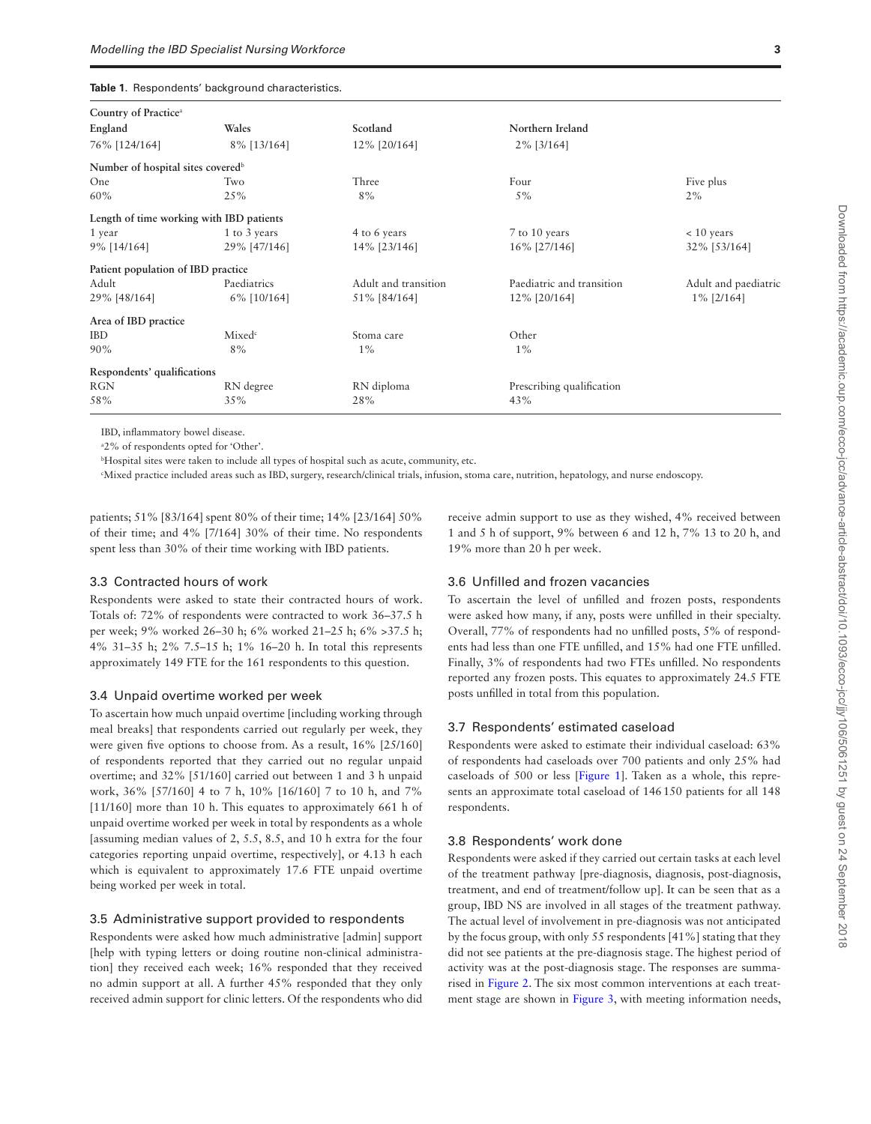<span id="page-2-0"></span>

|  |  |  | Table 1. Respondents' background characteristics. |
|--|--|--|---------------------------------------------------|
|--|--|--|---------------------------------------------------|

| Country of Practice <sup>a</sup>              |                    |                      |                           |                      |
|-----------------------------------------------|--------------------|----------------------|---------------------------|----------------------|
| England                                       | Wales              | Scotland             | Northern Ireland          |                      |
| 76% [124/164]                                 | 8% [13/164]        | 12% [20/164]         | 2% [3/164]                |                      |
| Number of hospital sites covered <sup>b</sup> |                    |                      |                           |                      |
| One                                           | Two                | Three                | Four                      | Five plus            |
| 60%                                           | 25%                | 8%                   | $5\%$                     | 2%                   |
| Length of time working with IBD patients      |                    |                      |                           |                      |
| 1 year                                        | 1 to 3 years       | 4 to 6 years         | 7 to 10 years             | $< 10$ years         |
| 9% [14/164]                                   | 29% [47/146]       | 14% [23/146]         | 16% [27/146]              | 32% [53/164]         |
| Patient population of IBD practice            |                    |                      |                           |                      |
| Adult                                         | Paediatrics        | Adult and transition | Paediatric and transition | Adult and paediatric |
| 29% [48/164]                                  | 6% [10/164]        | 51% [84/164]         | 12% [20/164]              | $1\%$ [2/164]        |
| Area of IBD practice                          |                    |                      |                           |                      |
| <b>IBD</b>                                    | Mixed <sup>c</sup> | Stoma care           | Other                     |                      |
| 90%                                           | 8%                 | $1\%$                | $1\%$                     |                      |
| Respondents' qualifications                   |                    |                      |                           |                      |
| <b>RGN</b>                                    | RN degree          | RN diploma           | Prescribing qualification |                      |
| 58%                                           | 35%                | 28%                  | 43%                       |                      |
|                                               |                    |                      |                           |                      |

IBD, inflammatory bowel disease.

a 2% of respondents opted for 'Other'.

b Hospital sites were taken to include all types of hospital such as acute, community, etc.

c Mixed practice included areas such as IBD, surgery, research/clinical trials, infusion, stoma care, nutrition, hepatology, and nurse endoscopy.

patients; 51% [83/164] spent 80% of their time; 14% [23/164] 50% of their time; and 4% [7/164] 30% of their time. No respondents spent less than 30% of their time working with IBD patients.

#### 3.3 Contracted hours of work

Respondents were asked to state their contracted hours of work. Totals of: 72% of respondents were contracted to work 36–37.5 h per week; 9% worked 26–30 h; 6% worked 21–25 h; 6% >37.5 h; 4% 31–35 h; 2% 7.5–15 h; 1% 16–20 h. In total this represents approximately 149 FTE for the 161 respondents to this question.

#### 3.4 Unpaid overtime worked per week

To ascertain how much unpaid overtime [including working through meal breaks] that respondents carried out regularly per week, they were given five options to choose from. As a result, 16% [25/160] of respondents reported that they carried out no regular unpaid overtime; and 32% [51/160] carried out between 1 and 3 h unpaid work, 36% [57/160] 4 to 7 h, 10% [16/160] 7 to 10 h, and 7% [11/160] more than 10 h. This equates to approximately 661 h of unpaid overtime worked per week in total by respondents as a whole [assuming median values of 2, 5.5, 8.5, and 10 h extra for the four categories reporting unpaid overtime, respectively], or 4.13 h each which is equivalent to approximately 17.6 FTE unpaid overtime being worked per week in total.

#### 3.5 Administrative support provided to respondents

Respondents were asked how much administrative [admin] support [help with typing letters or doing routine non-clinical administration] they received each week; 16% responded that they received no admin support at all. A further 45% responded that they only received admin support for clinic letters. Of the respondents who did receive admin support to use as they wished, 4% received between 1 and 5 h of support, 9% between 6 and 12 h, 7% 13 to 20 h, and 19% more than 20 h per week.

## 3.6 Unfilled and frozen vacancies

To ascertain the level of unfilled and frozen posts, respondents were asked how many, if any, posts were unfilled in their specialty. Overall, 77% of respondents had no unfilled posts, 5% of respondents had less than one FTE unfilled, and 15% had one FTE unfilled. Finally, 3% of respondents had two FTEs unfilled. No respondents reported any frozen posts. This equates to approximately 24.5 FTE posts unfilled in total from this population.

## 3.7 Respondents' estimated caseload

Respondents were asked to estimate their individual caseload: 63% of respondents had caseloads over 700 patients and only 25% had caseloads of 500 or less [\[Figure 1\]](#page-3-0). Taken as a whole, this represents an approximate total caseload of 146150 patients for all 148 respondents.

#### 3.8 Respondents' work done

Respondents were asked if they carried out certain tasks at each level of the treatment pathway [pre-diagnosis, diagnosis, post-diagnosis, treatment, and end of treatment/follow up]. It can be seen that as a group, IBD NS are involved in all stages of the treatment pathway. The actual level of involvement in pre-diagnosis was not anticipated by the focus group, with only 55 respondents [41%] stating that they did not see patients at the pre-diagnosis stage. The highest period of activity was at the post-diagnosis stage. The responses are summarised in [Figure 2.](#page-3-1) The six most common interventions at each treatment stage are shown in [Figure 3,](#page-4-0) with meeting information needs,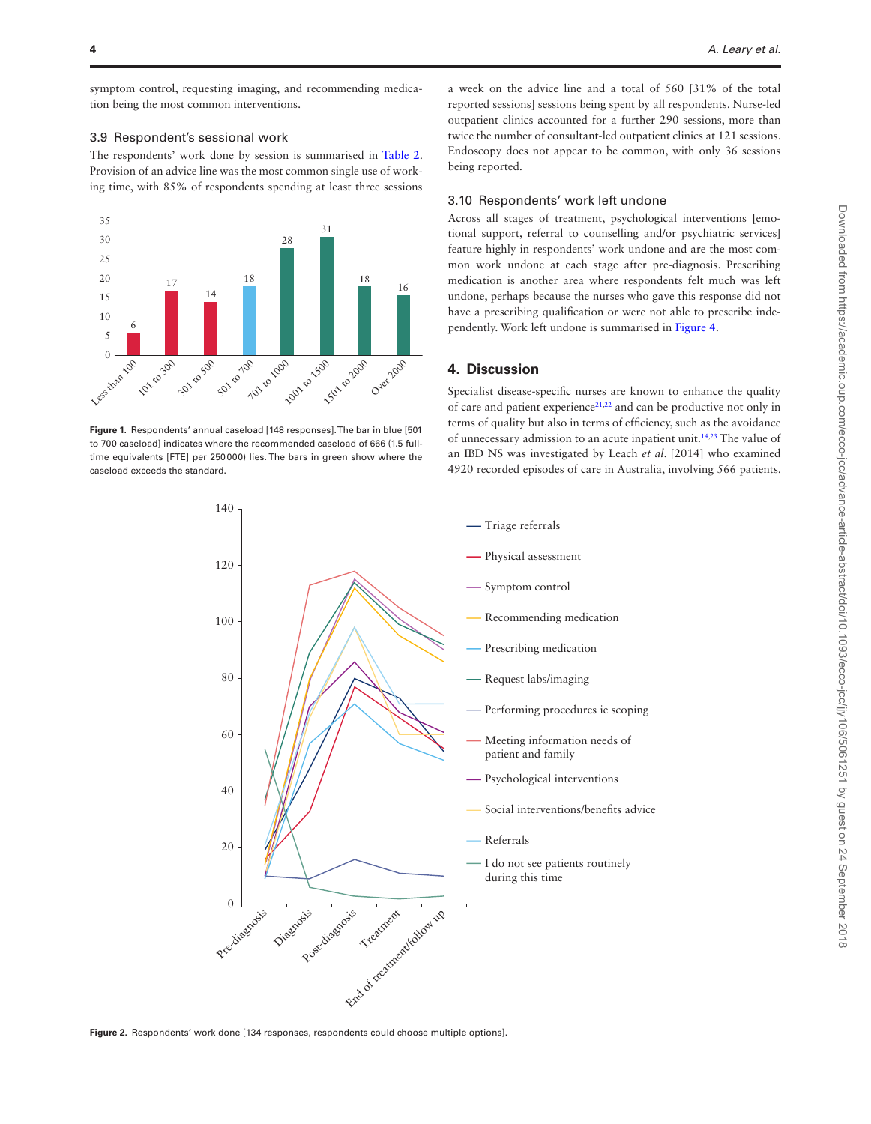symptom control, requesting imaging, and recommending medication being the most common interventions.

## 3.9 Respondent's sessional work

The respondents' work done by session is summarised in [Table 2](#page-4-1). Provision of an advice line was the most common single use of working time, with 85% of respondents spending at least three sessions



<span id="page-3-0"></span>**Figure 1.** Respondents' annual caseload [148 responses]. The bar in blue [501 to 700 caseload] indicates where the recommended caseload of 666 (1.5 fulltime equivalents [FTE] per 250000) lies. The bars in green show where the caseload exceeds the standard.

a week on the advice line and a total of 560 [31% of the total reported sessions] sessions being spent by all respondents. Nurse-led outpatient clinics accounted for a further 290 sessions, more than twice the number of consultant-led outpatient clinics at 121 sessions. Endoscopy does not appear to be common, with only 36 sessions being reported.

## 3.10 Respondents' work left undone

Across all stages of treatment, psychological interventions [emotional support, referral to counselling and/or psychiatric services] feature highly in respondents' work undone and are the most common work undone at each stage after pre-diagnosis. Prescribing medication is another area where respondents felt much was left undone, perhaps because the nurses who gave this response did not have a prescribing qualification or were not able to prescribe independently. Work left undone is summarised in [Figure 4](#page-5-3).

## **4. Discussion**

Specialist disease-specific nurses are known to enhance the quality of care and patient experience<sup>[21](#page-6-17)[,22](#page-6-18)</sup> and can be productive not only in terms of quality but also in terms of efficiency, such as the avoidance of unnecessary admission to an acute inpatient unit[.14](#page-6-10)[,23](#page-6-19) The value of an IBD NS was investigated by Leach *et al*. [2014] who examined 4920 recorded episodes of care in Australia, involving 566 patients.



<span id="page-3-1"></span>**Figure 2.** Respondents' work done [134 responses, respondents could choose multiple options].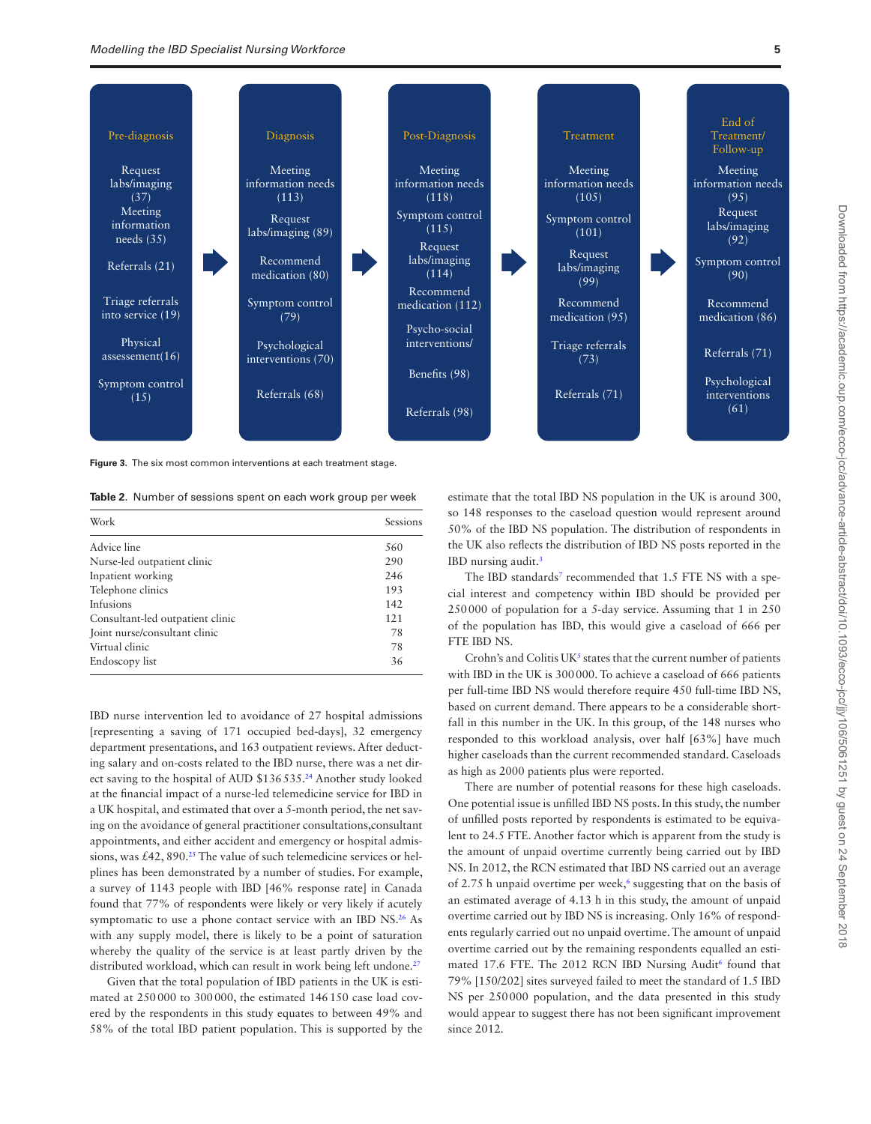

<span id="page-4-0"></span>**Figure 3.** The six most common interventions at each treatment stage.

<span id="page-4-1"></span>**Table 2**. Number of sessions spent on each work group per week

| Work                             | <b>Sessions</b> |
|----------------------------------|-----------------|
| Advice line                      | 560             |
| Nurse-led outpatient clinic      | 290             |
| Inpatient working                | 246             |
| Telephone clinics                | 193             |
| Infusions                        | 142             |
| Consultant-led outpatient clinic | 121             |
| Joint nurse/consultant clinic    | 78              |
| Virtual clinic                   | 78              |
| Endoscopy list                   | 36              |

IBD nurse intervention led to avoidance of 27 hospital admissions [representing a saving of 171 occupied bed-days], 32 emergency department presentations, and 163 outpatient reviews. After deducting salary and on-costs related to the IBD nurse, there was a net direct saving to the hospital of AUD \$136535.<sup>24</sup> Another study looked at the financial impact of a nurse-led telemedicine service for IBD in a UK hospital, and estimated that over a 5-month period, the net saving on the avoidance of general practitioner consultations,consultant appointments, and either accident and emergency or hospital admissions, was  $£42$ ,  $890.^{25}$  The value of such telemedicine services or helplines has been demonstrated by a number of studies. For example, a survey of 1143 people with IBD [46% response rate] in Canada found that 77% of respondents were likely or very likely if acutely symptomatic to use a phone contact service with an IBD NS.<sup>26</sup> As with any supply model, there is likely to be a point of saturation whereby the quality of the service is at least partly driven by the distributed workload, which can result in work being left undone.<sup>27</sup>

Given that the total population of IBD patients in the UK is estimated at 250000 to 300000, the estimated 146150 case load covered by the respondents in this study equates to between 49% and 58% of the total IBD patient population. This is supported by the

estimate that the total IBD NS population in the UK is around 300, so 148 responses to the caseload question would represent around 50% of the IBD NS population. The distribution of respondents in the UK also reflects the distribution of IBD NS posts reported in the IBD nursing audit.<sup>3</sup>

The IBD standards<sup>[7](#page-6-3)</sup> recommended that 1.5 FTE NS with a special interest and competency within IBD should be provided per 250000 of population for a 5-day service. Assuming that 1 in 250 of the population has IBD, this would give a caseload of 666 per FTE IBD NS.

Crohn's and Colitis  $UK<sup>5</sup>$  states that the current number of patients with IBD in the UK is 300000. To achieve a caseload of 666 patients per full-time IBD NS would therefore require 450 full-time IBD NS, based on current demand. There appears to be a considerable shortfall in this number in the UK. In this group, of the 148 nurses who responded to this workload analysis, over half [63%] have much higher caseloads than the current recommended standard. Caseloads as high as 2000 patients plus were reported.

There are number of potential reasons for these high caseloads. One potential issue is unfilled IBD NS posts. In this study, the number of unfilled posts reported by respondents is estimated to be equivalent to 24.5 FTE. Another factor which is apparent from the study is the amount of unpaid overtime currently being carried out by IBD NS. In 2012, the RCN estimated that IBD NS carried out an average of 2.75 h unpaid overtime per week,<sup>[6](#page-6-2)</sup> suggesting that on the basis of an estimated average of 4.13 h in this study, the amount of unpaid overtime carried out by IBD NS is increasing. Only 16% of respondents regularly carried out no unpaid overtime. The amount of unpaid overtime carried out by the remaining respondents equalled an estimated 17.6 FTE. The 2012 RCN IBD Nursing Audit<sup>6</sup> found that 79% [150/202] sites surveyed failed to meet the standard of 1.5 IBD NS per 250000 population, and the data presented in this study would appear to suggest there has not been significant improvement since 2012.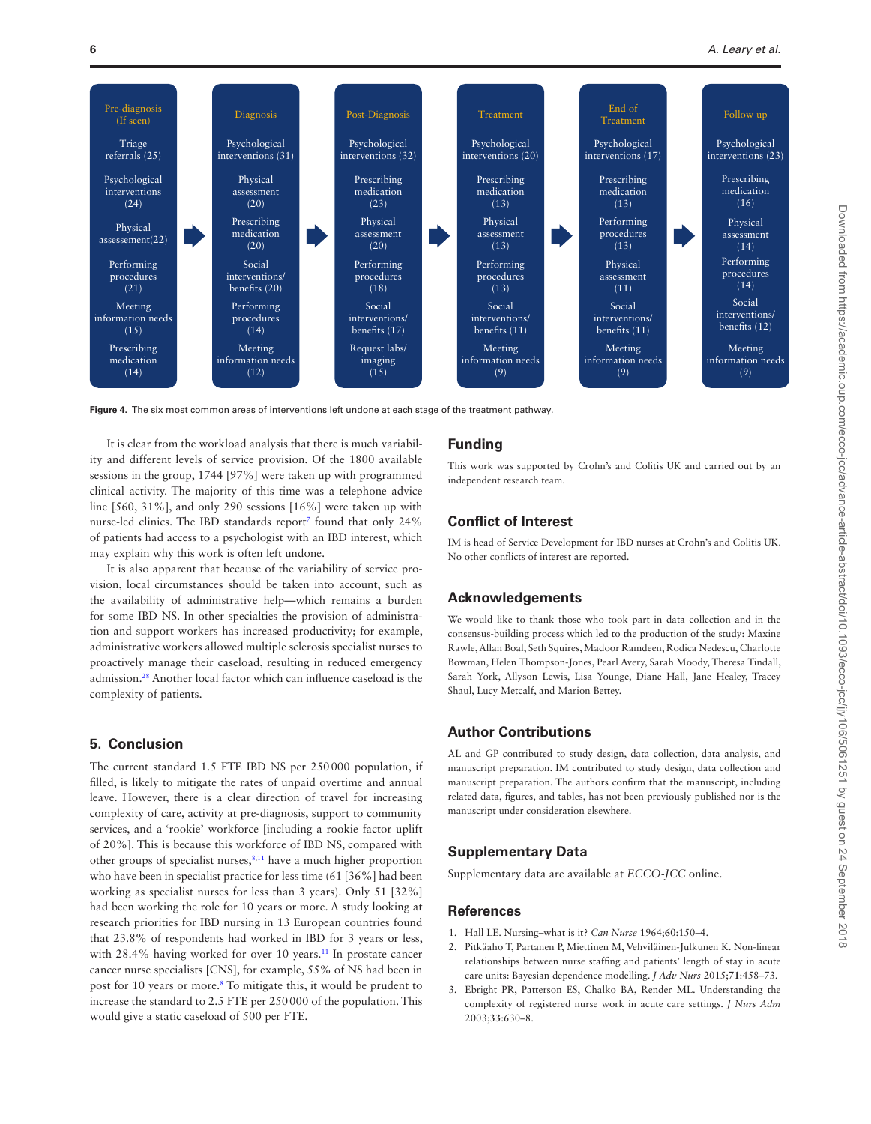

<span id="page-5-3"></span>**Figure 4.** The six most common areas of interventions left undone at each stage of the treatment pathway.

It is clear from the workload analysis that there is much variability and different levels of service provision. Of the 1800 available sessions in the group, 1744 [97%] were taken up with programmed clinical activity. The majority of this time was a telephone advice line [560, 31%], and only 290 sessions [16%] were taken up with nurse-led clinics. The IBD standards report<sup>7</sup> found that only 24% of patients had access to a psychologist with an IBD interest, which may explain why this work is often left undone.

It is also apparent that because of the variability of service provision, local circumstances should be taken into account, such as the availability of administrative help—which remains a burden for some IBD NS. In other specialties the provision of administration and support workers has increased productivity; for example, administrative workers allowed multiple sclerosis specialist nurses to proactively manage their caseload, resulting in reduced emergency admission[.28](#page-6-24) Another local factor which can influence caseload is the complexity of patients.

## **5. Conclusion**

The current standard 1.5 FTE IBD NS per 250000 population, if filled, is likely to mitigate the rates of unpaid overtime and annual leave. However, there is a clear direction of travel for increasing complexity of care, activity at pre-diagnosis, support to community services, and a 'rookie' workforce [including a rookie factor uplift of 20%]. This is because this workforce of IBD NS, compared with other groups of specialist nurses,<sup>8,[11](#page-6-7)</sup> have a much higher proportion who have been in specialist practice for less time (61 [36%] had been working as specialist nurses for less than 3 years). Only 51 [32%] had been working the role for 10 years or more. A study looking at research priorities for IBD nursing in 13 European countries found that 23.8% of respondents had worked in IBD for 3 years or less, with 28.4% having worked for over 10 years.<sup>11</sup> In prostate cancer cancer nurse specialists [CNS], for example, 55% of NS had been in post for 10 years or more.<sup>[8](#page-6-4)</sup> To mitigate this, it would be prudent to increase the standard to 2.5 FTE per 250000 of the population. This would give a static caseload of 500 per FTE.

#### **Funding**

This work was supported by Crohn's and Colitis UK and carried out by an independent research team.

## **Conflict of Interest**

IM is head of Service Development for IBD nurses at Crohn's and Colitis UK. No other conflicts of interest are reported.

#### **Acknowledgements**

We would like to thank those who took part in data collection and in the consensus-building process which led to the production of the study: Maxine Rawle, Allan Boal, Seth Squires, Madoor Ramdeen, Rodica Nedescu, Charlotte Bowman, Helen Thompson-Jones, Pearl Avery, Sarah Moody, Theresa Tindall, Sarah York, Allyson Lewis, Lisa Younge, Diane Hall, Jane Healey, Tracey Shaul, Lucy Metcalf, and Marion Bettey.

## **Author Contributions**

AL and GP contributed to study design, data collection, data analysis, and manuscript preparation. IM contributed to study design, data collection and manuscript preparation. The authors confirm that the manuscript, including related data, figures, and tables, has not been previously published nor is the manuscript under consideration elsewhere.

## **Supplementary Data**

Supplementary data are available at *ECCO-JCC* online.

#### **References**

- <span id="page-5-0"></span>1. Hall LE. Nursing–what is it? *Can Nurse* 1964;**60**:150–4.
- <span id="page-5-1"></span>2. Pitkäaho T, Partanen P, Miettinen M, Vehviläinen-Julkunen K. Non-linear relationships between nurse staffing and patients' length of stay in acute care units: Bayesian dependence modelling. *J Adv Nurs* 2015;**71**:458–73.
- <span id="page-5-2"></span>3. Ebright PR, Patterson ES, Chalko BA, Render ML. Understanding the complexity of registered nurse work in acute care settings. *J Nurs Adm* 2003;**33**:630–8.